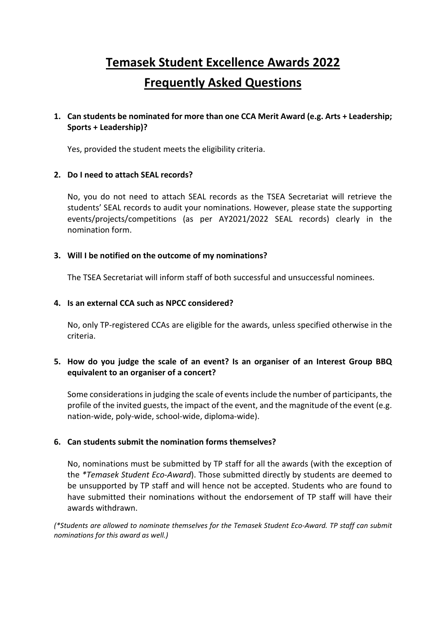# **Temasek Student Excellence Awards 2022 Frequently Asked Questions**

## **1. Can students be nominated for more than one CCA Merit Award (e.g. Arts + Leadership; Sports + Leadership)?**

Yes, provided the student meets the eligibility criteria.

## **2. Do I need to attach SEAL records?**

No, you do not need to attach SEAL records as the TSEA Secretariat will retrieve the students' SEAL records to audit your nominations. However, please state the supporting events/projects/competitions (as per AY2021/2022 SEAL records) clearly in the nomination form.

## **3. Will I be notified on the outcome of my nominations?**

The TSEA Secretariat will inform staff of both successful and unsuccessful nominees.

#### **4. Is an external CCA such as NPCC considered?**

No, only TP-registered CCAs are eligible for the awards, unless specified otherwise in the criteria.

## **5. How do you judge the scale of an event? Is an organiser of an Interest Group BBQ equivalent to an organiser of a concert?**

Some considerations in judging the scale of events include the number of participants, the profile of the invited guests, the impact of the event, and the magnitude of the event (e.g. nation-wide, poly-wide, school-wide, diploma-wide).

## **6. Can students submit the nomination forms themselves?**

No, nominations must be submitted by TP staff for all the awards (with the exception of the *\*Temasek Student Eco-Award*). Those submitted directly by students are deemed to be unsupported by TP staff and will hence not be accepted. Students who are found to have submitted their nominations without the endorsement of TP staff will have their awards withdrawn.

*(\*Students are allowed to nominate themselves for the Temasek Student Eco-Award. TP staff can submit nominations for this award as well.)*